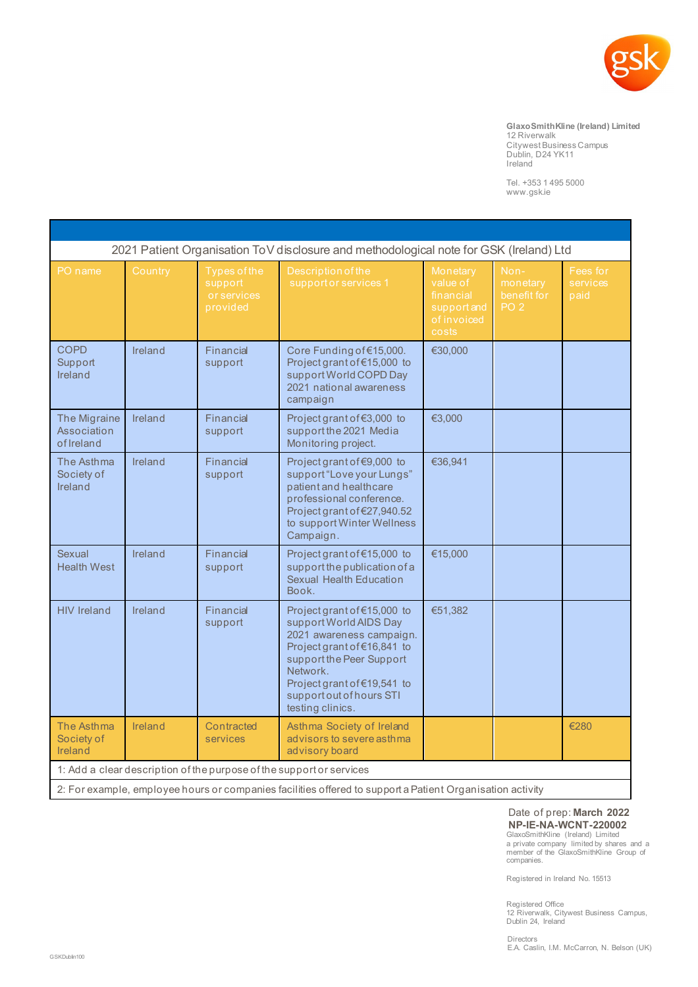

## **GlaxoSmithKline (Ireland) Limited**

12 Riverwalk Citywest Business Campus Dublin, D24 YK11 Ireland

Tel. +353 1 495 5000 [www.gsk.ie](http://www.gsk.ie/)

| 2021 Patient Organisation ToV disclosure and methodological note for GSK (Ireland) Ltd                    |         |                                                    |                                                                                                                                                                                                                                         |                                                                          |                                                    |                              |
|-----------------------------------------------------------------------------------------------------------|---------|----------------------------------------------------|-----------------------------------------------------------------------------------------------------------------------------------------------------------------------------------------------------------------------------------------|--------------------------------------------------------------------------|----------------------------------------------------|------------------------------|
| PO name                                                                                                   | Country | Types of the<br>support<br>or services<br>provided | <b>Description of the</b><br>support or services 1                                                                                                                                                                                      | Monetary<br>value of<br>financial<br>support and<br>of invoiced<br>costs | Non-<br>monetary<br>benefit for<br>PO <sub>2</sub> | Fees for<br>services<br>paid |
| <b>COPD</b><br>Support<br>Ireland                                                                         | Ireland | Financial<br>support                               | Core Funding of €15,000.<br>Project grant of €15,000 to<br>support World COPD Day<br>2021 national awareness<br>campaign                                                                                                                | €30,000                                                                  |                                                    |                              |
| The Migraine<br><b>Association</b><br>of Ireland                                                          | Ireland | Financial<br>support                               | Project grant of €3,000 to<br>support the 2021 Media<br>Monitoring project.                                                                                                                                                             | €3,000                                                                   |                                                    |                              |
| The Asthma<br>Society of<br>Ireland                                                                       | Ireland | Financial<br>support                               | Project grant of €9,000 to<br>support "Love your Lungs"<br>patient and healthcare<br>professional conference.<br>Project grant of €27,940.52<br>to support Winter Wellness<br>Campaign.                                                 | €36,941                                                                  |                                                    |                              |
| Sexual<br><b>Health West</b>                                                                              | Ireland | Financial<br>support                               | Project grant of €15,000 to<br>support the publication of a<br>Sexual Health Education<br>Book.                                                                                                                                         | €15,000                                                                  |                                                    |                              |
| <b>HIV Ireland</b>                                                                                        | Ireland | Financial<br>support                               | Project grant of €15,000 to<br>support World AIDS Day<br>2021 awareness campaign.<br>Project grant of €16,841 to<br>support the Peer Support<br>Network.<br>Project grant of €19,541 to<br>support out of hours STI<br>testing clinics. | €51,382                                                                  |                                                    |                              |
| The Asthma<br>Society of<br>Ireland                                                                       | Ireland | Contracted<br>services                             | Asthma Society of Ireland<br>advisors to severe asthma<br>advisory board                                                                                                                                                                |                                                                          |                                                    | €280                         |
| 1: Add a clear description of the purpose of the support or services                                      |         |                                                    |                                                                                                                                                                                                                                         |                                                                          |                                                    |                              |
| 2: For example, employee hours or companies facilities offered to support a Patient Organisation activity |         |                                                    |                                                                                                                                                                                                                                         |                                                                          |                                                    |                              |

## Date of prep: **March 2022 NP-IE-NA-WCNT-220002** GlaxoSmithKline (Ireland) Limited

a private company limited by shares and a member of the GlaxoSmithKline Group of companies.

Registered in Ireland No. 15513

Registered Office 12 Riverwalk, Citywest Business Campus, Dublin 24, Ireland

Directors E.A. Caslin, I.M. McCarron, N. Belson (UK)